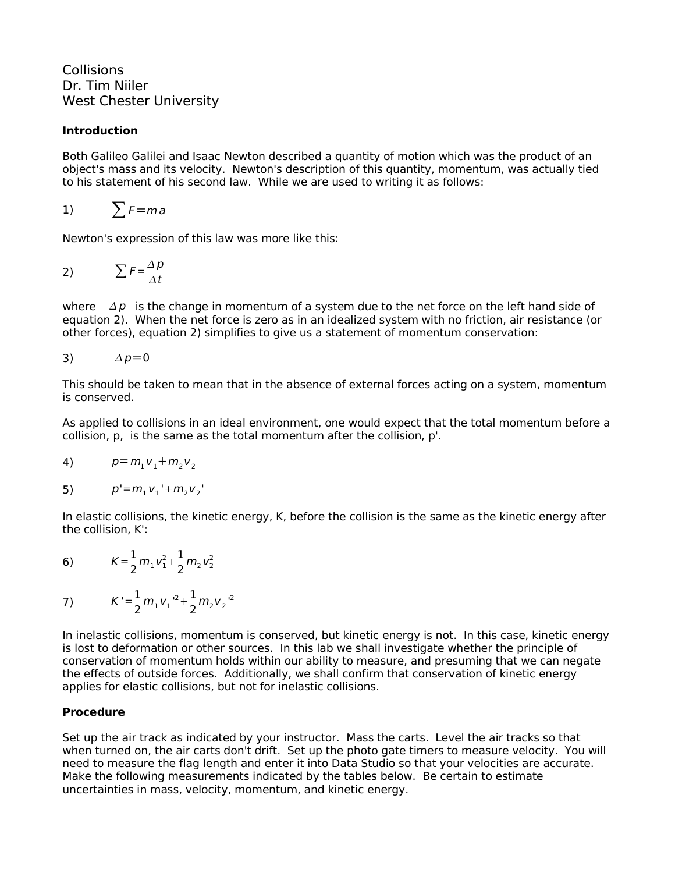**Collisions** Dr. Tim Niiler West Chester University

## **Introduction**

Both Galileo Galilei and Isaac Newton described a quantity of motion which was the product of an object's mass and its velocity. Newton's description of this quantity, momentum, was actually tied to his statement of his second law. While we are used to writing it as follows:

1) 
$$
\sum F = ma
$$

Newton's expression of this law was more like this:

$$
\sum F = \frac{\Delta p}{\Delta t}
$$

where  $\Delta p$  is the change in momentum of a system due to the net force on the left hand side of equation 2). When the net force is zero as in an idealized system with no friction, air resistance (or other forces), equation 2) simplifies to give us a statement of momentum conservation:

$$
\Delta p = 0
$$

This should be taken to mean that in the absence of external forces acting on a system, momentum is conserved.

As applied to collisions in an ideal environment, one would expect that the total momentum before a collision, p, is the same as the total momentum after the collision, p'.

4) 
$$
p = m_1 v_1 + m_2 v_2
$$

5) 
$$
p'=m_1v_1'+m_2v_2'
$$

In elastic collisions, the kinetic energy, K, before the collision is the same as the kinetic energy after the collision, K':

6) 
$$
K = \frac{1}{2} m_1 v_1^2 + \frac{1}{2} m_2 v_2^2
$$

7) 
$$
K' = \frac{1}{2} m_1 v_1^{2} + \frac{1}{2} m_2 v_2^{2}
$$

In inelastic collisions, momentum is conserved, but kinetic energy is not. In this case, kinetic energy is lost to deformation or other sources. In this lab we shall investigate whether the principle of conservation of momentum holds within our ability to measure, and presuming that we can negate the effects of outside forces. Additionally, we shall confirm that conservation of kinetic energy applies for elastic collisions, but not for inelastic collisions.

# **Procedure**

Set up the air track as indicated by your instructor. Mass the carts. Level the air tracks so that when turned on, the air carts don't drift. Set up the photo gate timers to measure velocity. You will need to measure the flag length and enter it into Data Studio so that your velocities are accurate. Make the following measurements indicated by the tables below. Be certain to estimate uncertainties in mass, velocity, momentum, and kinetic energy.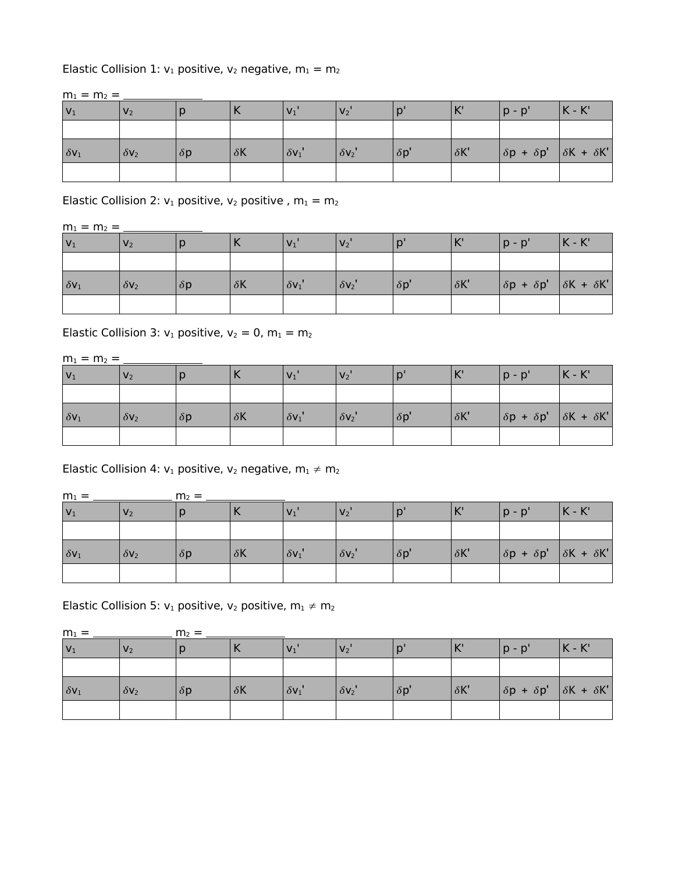## Elastic Collision 1:  $v_1$  positive,  $v_2$  negative,  $m_1 = m_2$

 $m_1 = m_2 = \_$ 

| $ V_1 $                  | V <sub>2</sub> |            |            |               | V <sub>2</sub> |             | $\mathbf{V}$ | $p - p'$                                                              | $K - K'$ |
|--------------------------|----------------|------------|------------|---------------|----------------|-------------|--------------|-----------------------------------------------------------------------|----------|
|                          |                |            |            |               |                |             |              |                                                                       |          |
| $ \delta$ V <sub>1</sub> | $\delta V_2$   | $\delta p$ | $\delta K$ | $\delta v_1'$ | $\delta V_2$   | $\delta p'$ | $\delta K'$  | $\left \delta p + \delta p'\right  \left \delta K + \delta K'\right $ |          |
|                          |                |            |            |               |                |             |              |                                                                       |          |

Elastic Collision 2:  $v_1$  positive,  $v_2$  positive,  $m_1 = m_2$ 

 $m_1 = m_2 =$ 

| $ V_1 $                 | V <sub>2</sub> |            |            | V <sub>1</sub> | V <sub>2</sub> |             | $\mathbf{V}$<br>$\mathbb{N}$ | $p - p'$                                        | $K - K'$ |
|-------------------------|----------------|------------|------------|----------------|----------------|-------------|------------------------------|-------------------------------------------------|----------|
|                         |                |            |            |                |                |             |                              |                                                 |          |
| $\delta$ V <sub>1</sub> | $\delta V_2$   | $\delta p$ | $\delta K$ | $\delta v_1'$  | $\delta V_2$   | $\delta p'$ | $\delta K'$                  | $\delta p + \delta p'$   $\delta K + \delta K'$ |          |
|                         |                |            |            |                |                |             |                              |                                                 |          |

Elastic Collision 3:  $v_1$  positive,  $v_2 = 0$ ,  $m_1 = m_2$ 

 $m_1 = m_2 =$ 

| $ V_1$       | V <sub>2</sub> |            |            | $V_1$         | V <sub>2</sub> |             | $\mathbf{V}$<br>$\overline{\phantom{a}}$ | $p - p'$                                                                            | $K - K'$ |
|--------------|----------------|------------|------------|---------------|----------------|-------------|------------------------------------------|-------------------------------------------------------------------------------------|----------|
|              |                |            |            |               |                |             |                                          |                                                                                     |          |
| $\delta v_1$ | $\delta V_2$   | $\delta p$ | $\delta K$ | $\delta v_1'$ | $\delta V_2$   | $\delta p'$ | $\delta K'$                              | $ \delta \mathsf{p} + \delta \mathsf{p}'   \delta \mathsf{K} + \delta \mathsf{K}' $ |          |
|              |                |            |            |               |                |             |                                          |                                                                                     |          |

Elastic Collision 4:  $v_1$  positive,  $v_2$  negative,  $m_1 \neq m_2$ 

| $m_1 =$      |                | $m_2 =$    |            |                |              |             |                                          |                                                                       |            |  |  |
|--------------|----------------|------------|------------|----------------|--------------|-------------|------------------------------------------|-----------------------------------------------------------------------|------------|--|--|
| $ V_1$       | V <sub>2</sub> |            | ↖          | V <sub>1</sub> | $V_2'$       |             | $\mathbf{V}$<br>$\overline{\phantom{a}}$ | p - p'                                                                | $ K - K' $ |  |  |
|              |                |            |            |                |              |             |                                          |                                                                       |            |  |  |
| $\delta v_1$ | $\delta V_2$   | $\delta p$ | $\delta K$ | $\delta v_1'$  | $\delta V_2$ | $\delta p'$ | $\delta K'$                              | $\left \delta p + \delta p'\right  \left \delta K + \delta K'\right $ |            |  |  |
|              |                |            |            |                |              |             |                                          |                                                                       |            |  |  |

Elastic Collision 5:  $v_1$  positive,  $v_2$  positive,  $m_1 \neq m_2$ 

| $m_1 =$      |                | $m2 =$     |            |                |              |              |              |                                                 |            |
|--------------|----------------|------------|------------|----------------|--------------|--------------|--------------|-------------------------------------------------|------------|
| $ v_1$       | V <sub>2</sub> |            | ↖          | V <sub>1</sub> | $V_2'$       |              | $\mathbf{V}$ | 'a - a                                          | $ K - K' $ |
|              |                |            |            |                |              |              |              |                                                 |            |
| $\delta v_1$ | $\delta V_2$   | $\delta p$ | $\delta K$ | $\delta v_1'$  | $\delta V_2$ | $ \delta p $ | $\delta K'$  | $ \delta p + \delta p'   \delta K + \delta K' $ |            |
|              |                |            |            |                |              |              |              |                                                 |            |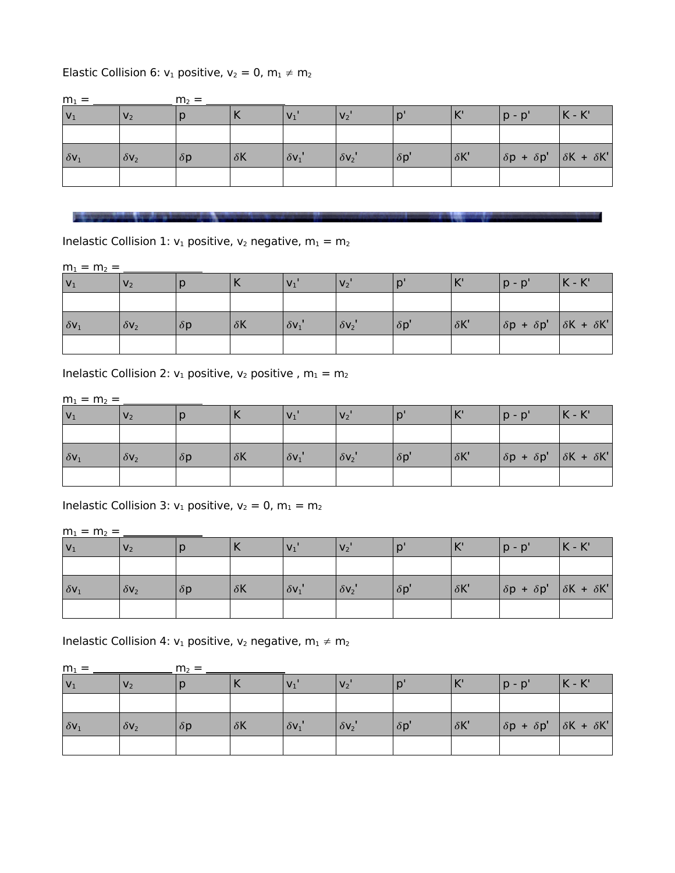# Elastic Collision 6:  $v_1$  positive,  $v_2 = 0$ ,  $m_1 \neq m_2$

| $m_1 =$      | $m2 =$         |            |            |               |                |             |             |                                               |           |
|--------------|----------------|------------|------------|---------------|----------------|-------------|-------------|-----------------------------------------------|-----------|
| $ V_1 $      | V <sub>2</sub> |            | ヽ          |               | V <sub>2</sub> |             | K           | $p - p'$                                      | $ K - K $ |
|              |                |            |            |               |                |             |             |                                               |           |
| $\delta v_1$ | $\delta V_2$   | $\delta p$ | $\delta K$ | $\delta v_1'$ | $\delta V_2$   | $\delta p'$ | $\delta K'$ | $\delta p + \delta p'$ $\delta K + \delta K'$ |           |
|              |                |            |            |               |                |             |             |                                               |           |

20 September 2006 VOLVEY STATES CO., Charles Mark 2006 VOLVEY STATES CONTRACTOR CONTRACTOR CONTRACTOR

Inelastic Collision 1:  $v_1$  positive,  $v_2$  negative,  $m_1 = m_2$ 

 $m_1 = m_2 =$ 

| $ V_1 $      | V <sub>2</sub> |            |            | V <sub>1</sub> | V <sub>2</sub> |                       | $K^{\prime}$ | $p - p'$                                                               | $K - K'$ |
|--------------|----------------|------------|------------|----------------|----------------|-----------------------|--------------|------------------------------------------------------------------------|----------|
|              |                |            |            |                |                |                       |              |                                                                        |          |
| $\delta V_1$ | $\delta V_2$   | $\delta p$ | $\delta K$ | $\delta v_1'$  | $\delta v_2'$  | $ \delta \mathsf{p'}$ | $\delta K'$  | $\left \delta p + \delta p' \right  \left \delta K + \delta K'\right $ |          |
|              |                |            |            |                |                |                       |              |                                                                        |          |

Inelastic Collision 2:  $v_1$  positive,  $v_2$  positive,  $m_1 = m_2$ 

m<sup>1</sup> = m<sup>2</sup> =

| $ V_1$                  | V <sub>2</sub> |            |            | V <sub>1</sub> | V <sub>2</sub> |             | $\mathcal{V}^{\dagger}$ | $p - p'$                                        | $K - K'$ |
|-------------------------|----------------|------------|------------|----------------|----------------|-------------|-------------------------|-------------------------------------------------|----------|
|                         |                |            |            |                |                |             |                         |                                                 |          |
| $\delta$ V <sub>1</sub> | $\delta V_2$   | $\delta p$ | $\delta K$ | $\delta v_1'$  | $\delta V_2$   | $\delta p'$ | $\delta K'$             | $\delta p + \delta p'$   $\delta K + \delta K'$ |          |
|                         |                |            |            |                |                |             |                         |                                                 |          |

Inelastic Collision 3:  $v_1$  positive,  $v_2 = 0$ ,  $m_1 = m_2$ 

m<sup>1</sup> = m<sup>2</sup> =

| $V_1$                   | V <sub>2</sub> |            |            | V <sub>1</sub> | $V_2$         |                       | $\mathbf{V}$<br>$\mathbb{N}$ | $ p - p' $                                      | $ K - K' $ |
|-------------------------|----------------|------------|------------|----------------|---------------|-----------------------|------------------------------|-------------------------------------------------|------------|
|                         |                |            |            |                |               |                       |                              |                                                 |            |
| $\delta$ V <sub>1</sub> | $\delta V_2$   | $\delta p$ | $\delta K$ | $\delta v_1$   | $\delta v_2'$ | $ \delta \mathsf{p'}$ | $ \delta K' $                | $\delta p + \delta p'$   $\delta K + \delta K'$ |            |
|                         |                |            |            |                |               |                       |                              |                                                 |            |

Inelastic Collision 4:  $v_1$  positive,  $v_2$  negative,  $m_1 \neq m_2$ 

| $m_1 =$                |                | $m_2 =$    |                          |                      |              |             |                |                                               |          |  |  |
|------------------------|----------------|------------|--------------------------|----------------------|--------------|-------------|----------------|-----------------------------------------------|----------|--|--|
| $ v_1 $                | V <sub>2</sub> |            | $\overline{\phantom{a}}$ | $V_1'$               | $V_2$        |             | V <sup>1</sup> | $p - p'$                                      | $K - K'$ |  |  |
|                        |                |            |                          |                      |              |             |                |                                               |          |  |  |
| $ \delta \mathsf{v}_1$ | $\delta V_2$   | $\delta p$ | $\delta K$               | $ \delta {\sf v}_1"$ | $\delta V_2$ | $\delta p'$ | $\delta K'$    | $\delta p + \delta p'$ $\delta K + \delta K'$ |          |  |  |
|                        |                |            |                          |                      |              |             |                |                                               |          |  |  |